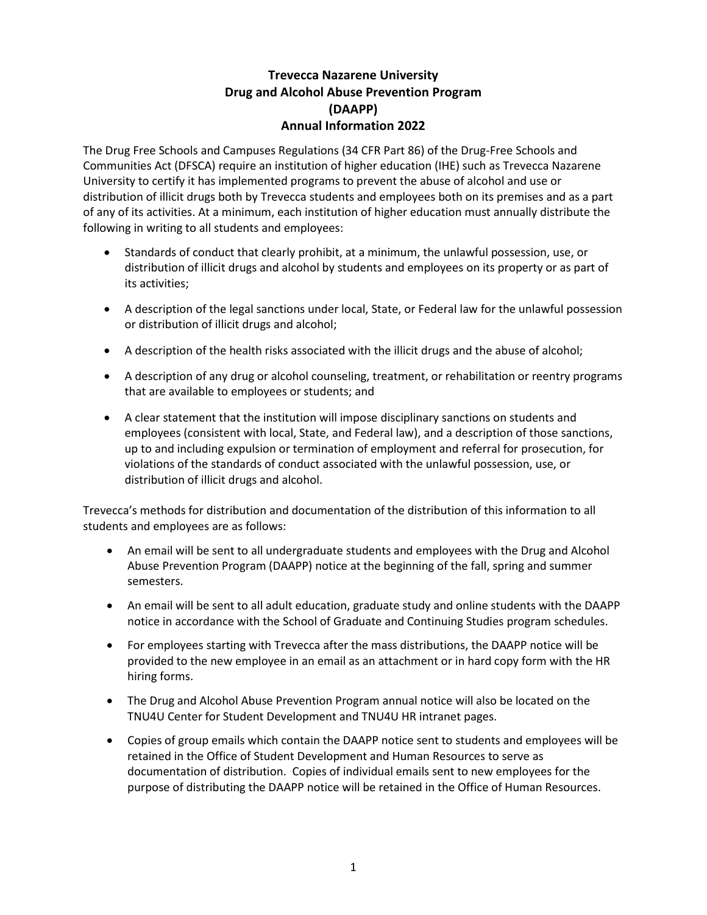# **Trevecca Nazarene University Drug and Alcohol Abuse Prevention Program (DAAPP) Annual Information 2022**

The Drug Free Schools and Campuses Regulations (34 CFR Part 86) of the Drug-Free Schools and Communities Act (DFSCA) require an institution of higher education (IHE) such as Trevecca Nazarene University to certify it has implemented programs to prevent the abuse of alcohol and use or distribution of illicit drugs both by Trevecca students and employees both on its premises and as a part of any of its activities. At a minimum, each institution of higher education must annually distribute the following in writing to all students and employees:

- Standards of conduct that clearly prohibit, at a minimum, the unlawful possession, use, or distribution of illicit drugs and alcohol by students and employees on its property or as part of its activities;
- A description of the legal sanctions under local, State, or Federal law for the unlawful possession or distribution of illicit drugs and alcohol;
- A description of the health risks associated with the illicit drugs and the abuse of alcohol;
- A description of any drug or alcohol counseling, treatment, or rehabilitation or reentry programs that are available to employees or students; and
- A clear statement that the institution will impose disciplinary sanctions on students and employees (consistent with local, State, and Federal law), and a description of those sanctions, up to and including expulsion or termination of employment and referral for prosecution, for violations of the standards of conduct associated with the unlawful possession, use, or distribution of illicit drugs and alcohol.

Trevecca's methods for distribution and documentation of the distribution of this information to all students and employees are as follows:

- An email will be sent to all undergraduate students and employees with the Drug and Alcohol Abuse Prevention Program (DAAPP) notice at the beginning of the fall, spring and summer semesters.
- An email will be sent to all adult education, graduate study and online students with the DAAPP notice in accordance with the School of Graduate and Continuing Studies program schedules.
- For employees starting with Trevecca after the mass distributions, the DAAPP notice will be provided to the new employee in an email as an attachment or in hard copy form with the HR hiring forms.
- The Drug and Alcohol Abuse Prevention Program annual notice will also be located on the TNU4U Center for Student Development and TNU4U HR intranet pages.
- Copies of group emails which contain the DAAPP notice sent to students and employees will be retained in the Office of Student Development and Human Resources to serve as documentation of distribution. Copies of individual emails sent to new employees for the purpose of distributing the DAAPP notice will be retained in the Office of Human Resources.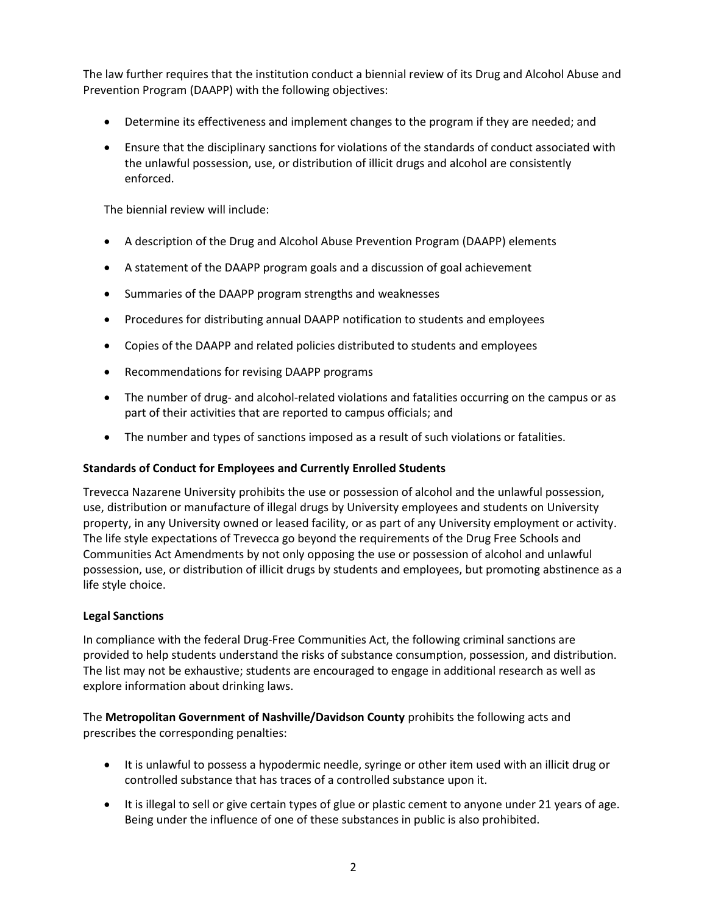The law further requires that the institution conduct a biennial review of its Drug and Alcohol Abuse and Prevention Program (DAAPP) with the following objectives:

- Determine its effectiveness and implement changes to the program if they are needed; and
- Ensure that the disciplinary sanctions for violations of the standards of conduct associated with the unlawful possession, use, or distribution of illicit drugs and alcohol are consistently enforced.

The biennial review will include:

- A description of the Drug and Alcohol Abuse Prevention Program (DAAPP) elements
- A statement of the DAAPP program goals and a discussion of goal achievement
- Summaries of the DAAPP program strengths and weaknesses
- Procedures for distributing annual DAAPP notification to students and employees
- Copies of the DAAPP and related policies distributed to students and employees
- Recommendations for revising DAAPP programs
- The number of drug- and alcohol-related violations and fatalities occurring on the campus or as part of their activities that are reported to campus officials; and
- The number and types of sanctions imposed as a result of such violations or fatalities.

### **Standards of Conduct for Employees and Currently Enrolled Students**

Trevecca Nazarene University prohibits the use or possession of alcohol and the unlawful possession, use, distribution or manufacture of illegal drugs by University employees and students on University property, in any University owned or leased facility, or as part of any University employment or activity. The life style expectations of Trevecca go beyond the requirements of the Drug Free Schools and Communities Act Amendments by not only opposing the use or possession of alcohol and unlawful possession, use, or distribution of illicit drugs by students and employees, but promoting abstinence as a life style choice.

### **Legal Sanctions**

In compliance with the federal Drug-Free Communities Act, the following criminal sanctions are provided to help students understand the risks of substance consumption, possession, and distribution. The list may not be exhaustive; students are encouraged to engage in additional research as well as explore information about drinking laws.

The **Metropolitan Government of Nashville/Davidson County** prohibits the following acts and prescribes the corresponding penalties:

- It is unlawful to possess a hypodermic needle, syringe or other item used with an illicit drug or controlled substance that has traces of a controlled substance upon it.
- It is illegal to sell or give certain types of glue or plastic cement to anyone under 21 years of age. Being under the influence of one of these substances in public is also prohibited.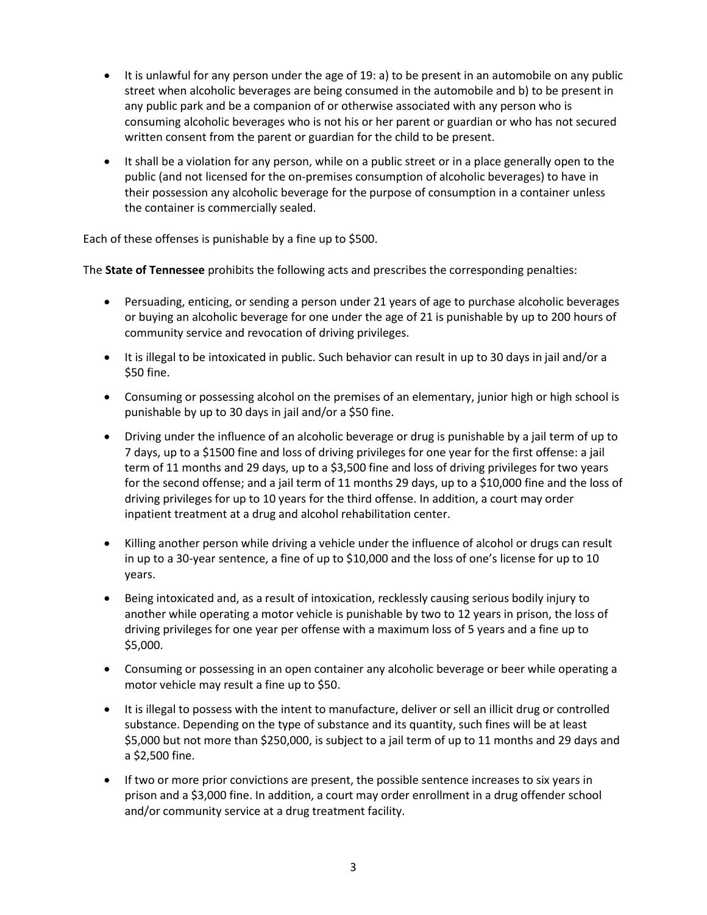- It is unlawful for any person under the age of 19: a) to be present in an automobile on any public street when alcoholic beverages are being consumed in the automobile and b) to be present in any public park and be a companion of or otherwise associated with any person who is consuming alcoholic beverages who is not his or her parent or guardian or who has not secured written consent from the parent or guardian for the child to be present.
- It shall be a violation for any person, while on a public street or in a place generally open to the public (and not licensed for the on-premises consumption of alcoholic beverages) to have in their possession any alcoholic beverage for the purpose of consumption in a container unless the container is commercially sealed.

Each of these offenses is punishable by a fine up to \$500.

The **State of Tennessee** prohibits the following acts and prescribes the corresponding penalties:

- Persuading, enticing, or sending a person under 21 years of age to purchase alcoholic beverages or buying an alcoholic beverage for one under the age of 21 is punishable by up to 200 hours of community service and revocation of driving privileges.
- It is illegal to be intoxicated in public. Such behavior can result in up to 30 days in jail and/or a \$50 fine.
- Consuming or possessing alcohol on the premises of an elementary, junior high or high school is punishable by up to 30 days in jail and/or a \$50 fine.
- Driving under the influence of an alcoholic beverage or drug is punishable by a jail term of up to 7 days, up to a \$1500 fine and loss of driving privileges for one year for the first offense: a jail term of 11 months and 29 days, up to a \$3,500 fine and loss of driving privileges for two years for the second offense; and a jail term of 11 months 29 days, up to a \$10,000 fine and the loss of driving privileges for up to 10 years for the third offense. In addition, a court may order inpatient treatment at a drug and alcohol rehabilitation center.
- Killing another person while driving a vehicle under the influence of alcohol or drugs can result in up to a 30-year sentence, a fine of up to \$10,000 and the loss of one's license for up to 10 years.
- Being intoxicated and, as a result of intoxication, recklessly causing serious bodily injury to another while operating a motor vehicle is punishable by two to 12 years in prison, the loss of driving privileges for one year per offense with a maximum loss of 5 years and a fine up to \$5,000.
- Consuming or possessing in an open container any alcoholic beverage or beer while operating a motor vehicle may result a fine up to \$50.
- It is illegal to possess with the intent to manufacture, deliver or sell an illicit drug or controlled substance. Depending on the type of substance and its quantity, such fines will be at least \$5,000 but not more than \$250,000, is subject to a jail term of up to 11 months and 29 days and a \$2,500 fine.
- If two or more prior convictions are present, the possible sentence increases to six years in prison and a \$3,000 fine. In addition, a court may order enrollment in a drug offender school and/or community service at a drug treatment facility.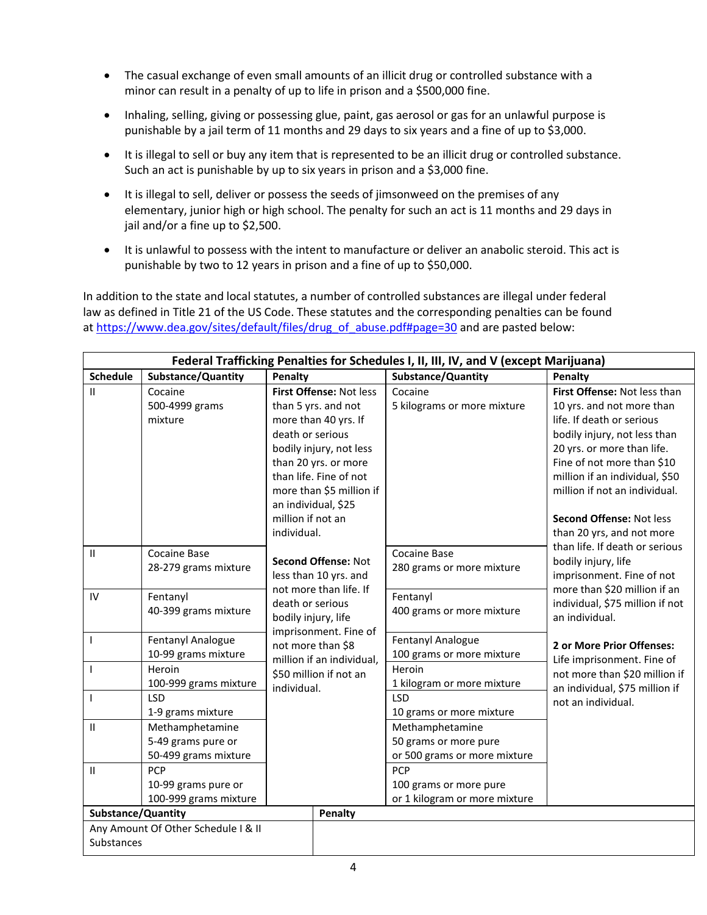- The casual exchange of even small amounts of an illicit drug or controlled substance with a minor can result in a penalty of up to life in prison and a \$500,000 fine.
- Inhaling, selling, giving or possessing glue, paint, gas aerosol or gas for an unlawful purpose is punishable by a jail term of 11 months and 29 days to six years and a fine of up to \$3,000.
- It is illegal to sell or buy any item that is represented to be an illicit drug or controlled substance. Such an act is punishable by up to six years in prison and a \$3,000 fine.
- It is illegal to sell, deliver or possess the seeds of jimsonweed on the premises of any elementary, junior high or high school. The penalty for such an act is 11 months and 29 days in jail and/or a fine up to \$2,500.
- It is unlawful to possess with the intent to manufacture or deliver an anabolic steroid. This act is punishable by two to 12 years in prison and a fine of up to \$50,000.

In addition to the state and local statutes, a number of controlled substances are illegal under federal law as defined in Title 21 of the US Code. These statutes and the corresponding penalties can be found at [https://www.dea.gov/sites/default/files/drug\\_of\\_abuse.pdf#page=30](https://www.dea.gov/sites/default/files/drug_of_abuse.pdf#page=30) and are pasted below:

| Federal Trafficking Penalties for Schedules I, II, III, IV, and V (except Marijuana) |                                     |                           |                               |                                                             |  |  |
|--------------------------------------------------------------------------------------|-------------------------------------|---------------------------|-------------------------------|-------------------------------------------------------------|--|--|
| <b>Schedule</b>                                                                      | Substance/Quantity                  | Penalty                   | <b>Substance/Quantity</b>     | Penalty                                                     |  |  |
| $\mathbf{II}$                                                                        | Cocaine                             | First Offense: Not less   | Cocaine                       | First Offense: Not less than                                |  |  |
|                                                                                      | 500-4999 grams                      | than 5 yrs. and not       | 5 kilograms or more mixture   | 10 yrs. and not more than                                   |  |  |
|                                                                                      | mixture                             | more than 40 yrs. If      |                               | life. If death or serious                                   |  |  |
|                                                                                      |                                     | death or serious          |                               | bodily injury, not less than                                |  |  |
|                                                                                      |                                     | bodily injury, not less   |                               | 20 yrs. or more than life.                                  |  |  |
|                                                                                      |                                     | than 20 yrs. or more      |                               | Fine of not more than \$10                                  |  |  |
|                                                                                      |                                     | than life. Fine of not    |                               | million if an individual, \$50                              |  |  |
|                                                                                      |                                     | more than \$5 million if  |                               | million if not an individual.                               |  |  |
|                                                                                      |                                     | an individual, \$25       |                               |                                                             |  |  |
|                                                                                      |                                     | million if not an         |                               | Second Offense: Not less                                    |  |  |
|                                                                                      |                                     | individual.               |                               | than 20 yrs, and not more<br>than life. If death or serious |  |  |
| $\mathbf{H}$                                                                         | <b>Cocaine Base</b>                 | Second Offense: Not       | <b>Cocaine Base</b>           | bodily injury, life                                         |  |  |
|                                                                                      | 28-279 grams mixture                | less than 10 yrs. and     | 280 grams or more mixture     | imprisonment. Fine of not                                   |  |  |
|                                                                                      |                                     | not more than life. If    |                               | more than \$20 million if an                                |  |  |
| IV                                                                                   | Fentanyl                            | death or serious          | Fentanyl                      | individual, \$75 million if not                             |  |  |
|                                                                                      | 40-399 grams mixture                | bodily injury, life       | 400 grams or more mixture     | an individual.                                              |  |  |
|                                                                                      |                                     | imprisonment. Fine of     |                               |                                                             |  |  |
| $\mathbf{I}$                                                                         | Fentanyl Analogue                   | not more than \$8         | <b>Fentanyl Analogue</b>      | 2 or More Prior Offenses:                                   |  |  |
|                                                                                      | 10-99 grams mixture                 | million if an individual, | 100 grams or more mixture     | Life imprisonment. Fine of                                  |  |  |
| $\mathbf{I}$                                                                         | Heroin                              | \$50 million if not an    | Heroin                        | not more than \$20 million if                               |  |  |
|                                                                                      | 100-999 grams mixture               | individual.               | 1 kilogram or more mixture    | an individual, \$75 million if                              |  |  |
| $\mathbf{I}$                                                                         | <b>LSD</b>                          |                           | <b>LSD</b>                    | not an individual.                                          |  |  |
|                                                                                      | 1-9 grams mixture                   |                           | 10 grams or more mixture      |                                                             |  |  |
| $\mathbf{H}$                                                                         | Methamphetamine                     |                           | Methamphetamine               |                                                             |  |  |
|                                                                                      | 5-49 grams pure or                  |                           | 50 grams or more pure         |                                                             |  |  |
|                                                                                      | 50-499 grams mixture                |                           | or 500 grams or more mixture  |                                                             |  |  |
| $\mathsf{II}$                                                                        | <b>PCP</b>                          |                           | <b>PCP</b>                    |                                                             |  |  |
|                                                                                      | 10-99 grams pure or                 |                           | 100 grams or more pure        |                                                             |  |  |
|                                                                                      | 100-999 grams mixture               |                           | or 1 kilogram or more mixture |                                                             |  |  |
| Substance/Quantity                                                                   |                                     | Penalty                   |                               |                                                             |  |  |
|                                                                                      | Any Amount Of Other Schedule I & II |                           |                               |                                                             |  |  |
| Substances                                                                           |                                     |                           |                               |                                                             |  |  |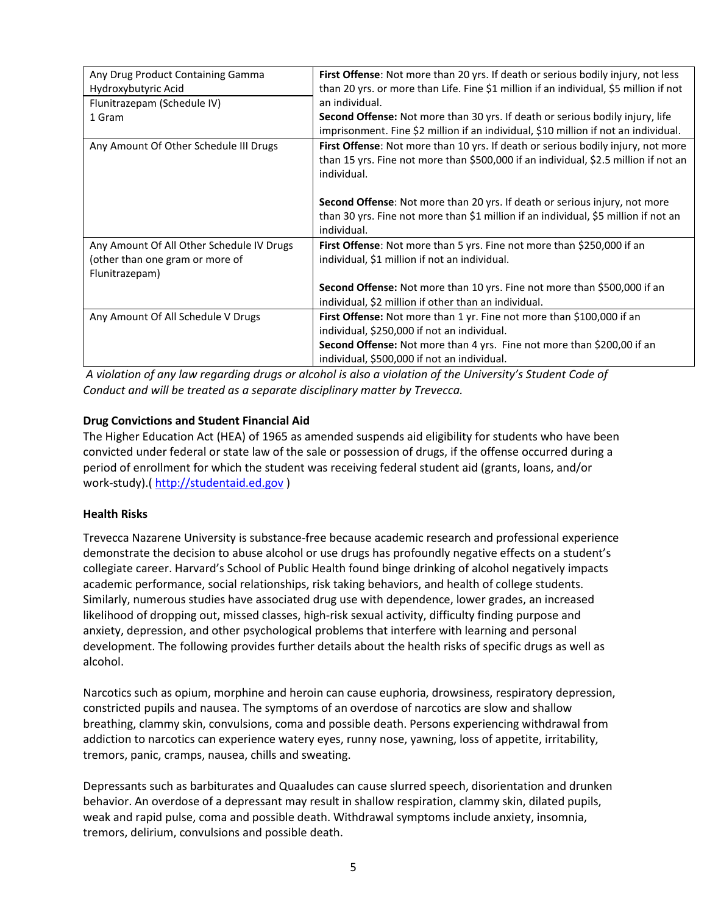| Any Drug Product Containing Gamma         | First Offense: Not more than 20 yrs. If death or serious bodily injury, not less      |  |  |
|-------------------------------------------|---------------------------------------------------------------------------------------|--|--|
|                                           |                                                                                       |  |  |
| Hydroxybutyric Acid                       | than 20 yrs. or more than Life. Fine \$1 million if an individual, \$5 million if not |  |  |
| Flunitrazepam (Schedule IV)               | an individual.                                                                        |  |  |
| 1 Gram                                    | Second Offense: Not more than 30 yrs. If death or serious bodily injury, life         |  |  |
|                                           | imprisonment. Fine \$2 million if an individual, \$10 million if not an individual.   |  |  |
| Any Amount Of Other Schedule III Drugs    | First Offense: Not more than 10 yrs. If death or serious bodily injury, not more      |  |  |
|                                           | than 15 yrs. Fine not more than \$500,000 if an individual, \$2.5 million if not an   |  |  |
|                                           | individual.                                                                           |  |  |
|                                           |                                                                                       |  |  |
|                                           | <b>Second Offense:</b> Not more than 20 yrs. If death or serious injury, not more     |  |  |
|                                           | than 30 yrs. Fine not more than \$1 million if an individual, \$5 million if not an   |  |  |
|                                           | individual.                                                                           |  |  |
| Any Amount Of All Other Schedule IV Drugs | First Offense: Not more than 5 yrs. Fine not more than \$250,000 if an                |  |  |
| (other than one gram or more of           | individual, \$1 million if not an individual.                                         |  |  |
| Flunitrazepam)                            |                                                                                       |  |  |
|                                           | Second Offense: Not more than 10 yrs. Fine not more than \$500,000 if an              |  |  |
|                                           | individual, \$2 million if other than an individual.                                  |  |  |
|                                           |                                                                                       |  |  |
| Any Amount Of All Schedule V Drugs        | First Offense: Not more than 1 yr. Fine not more than \$100,000 if an                 |  |  |
|                                           | individual, \$250,000 if not an individual.                                           |  |  |
|                                           | Second Offense: Not more than 4 yrs. Fine not more than \$200,00 if an                |  |  |
|                                           | individual, \$500,000 if not an individual.                                           |  |  |

*A violation of any law regarding drugs or alcohol is also a violation of the University's Student Code of Conduct and will be treated as a separate disciplinary matter by Trevecca.* 

## **Drug Convictions and Student Financial Aid**

The Higher Education Act (HEA) of 1965 as amended suspends aid eligibility for students who have been convicted under federal or state law of the sale or possession of drugs, if the offense occurred during a period of enrollment for which the student was receiving federal student aid (grants, loans, and/or work-study).[\( http://studentaid.ed.gov](http://studentaid.ed.gov/) )

### **Health Risks**

Trevecca Nazarene University is substance-free because academic research and professional experience demonstrate the decision to abuse alcohol or use drugs has profoundly negative effects on a student's collegiate career. Harvard's School of Public Health found binge drinking of alcohol negatively impacts academic performance, social relationships, risk taking behaviors, and health of college students. Similarly, numerous studies have associated drug use with dependence, lower grades, an increased likelihood of dropping out, missed classes, high-risk sexual activity, difficulty finding purpose and anxiety, depression, and other psychological problems that interfere with learning and personal development. The following provides further details about the health risks of specific drugs as well as alcohol.

Narcotics such as opium, morphine and heroin can cause euphoria, drowsiness, respiratory depression, constricted pupils and nausea. The symptoms of an overdose of narcotics are slow and shallow breathing, clammy skin, convulsions, coma and possible death. Persons experiencing withdrawal from addiction to narcotics can experience watery eyes, runny nose, yawning, loss of appetite, irritability, tremors, panic, cramps, nausea, chills and sweating.

Depressants such as barbiturates and Quaaludes can cause slurred speech, disorientation and drunken behavior. An overdose of a depressant may result in shallow respiration, clammy skin, dilated pupils, weak and rapid pulse, coma and possible death. Withdrawal symptoms include anxiety, insomnia, tremors, delirium, convulsions and possible death.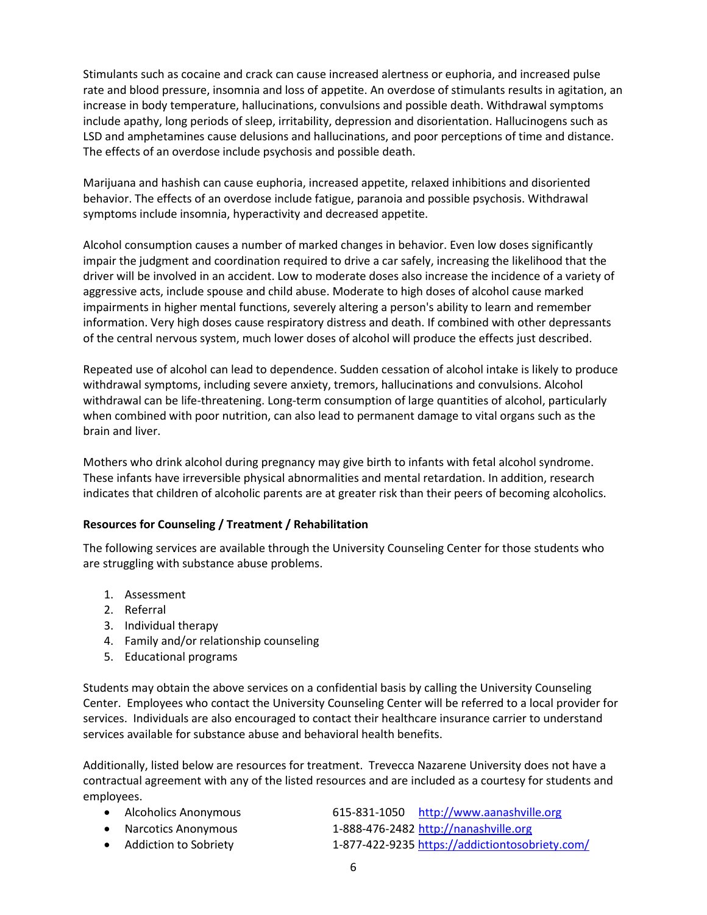Stimulants such as cocaine and crack can cause increased alertness or euphoria, and increased pulse rate and blood pressure, insomnia and loss of appetite. An overdose of stimulants results in agitation, an increase in body temperature, hallucinations, convulsions and possible death. Withdrawal symptoms include apathy, long periods of sleep, irritability, depression and disorientation. Hallucinogens such as LSD and amphetamines cause delusions and hallucinations, and poor perceptions of time and distance. The effects of an overdose include psychosis and possible death.

Marijuana and hashish can cause euphoria, increased appetite, relaxed inhibitions and disoriented behavior. The effects of an overdose include fatigue, paranoia and possible psychosis. Withdrawal symptoms include insomnia, hyperactivity and decreased appetite.

Alcohol consumption causes a number of marked changes in behavior. Even low doses significantly impair the judgment and coordination required to drive a car safely, increasing the likelihood that the driver will be involved in an accident. Low to moderate doses also increase the incidence of a variety of aggressive acts, include spouse and child abuse. Moderate to high doses of alcohol cause marked impairments in higher mental functions, severely altering a person's ability to learn and remember information. Very high doses cause respiratory distress and death. If combined with other depressants of the central nervous system, much lower doses of alcohol will produce the effects just described.

Repeated use of alcohol can lead to dependence. Sudden cessation of alcohol intake is likely to produce withdrawal symptoms, including severe anxiety, tremors, hallucinations and convulsions. Alcohol withdrawal can be life-threatening. Long-term consumption of large quantities of alcohol, particularly when combined with poor nutrition, can also lead to permanent damage to vital organs such as the brain and liver.

Mothers who drink alcohol during pregnancy may give birth to infants with fetal alcohol syndrome. These infants have irreversible physical abnormalities and mental retardation. In addition, research indicates that children of alcoholic parents are at greater risk than their peers of becoming alcoholics.

# **Resources for Counseling / Treatment / Rehabilitation**

The following services are available through the University Counseling Center for those students who are struggling with substance abuse problems.

- 1. Assessment
- 2. Referral
- 3. Individual therapy
- 4. Family and/or relationship counseling
- 5. Educational programs

Students may obtain the above services on a confidential basis by calling the University Counseling Center. Employees who contact the University Counseling Center will be referred to a local provider for services. Individuals are also encouraged to contact their healthcare insurance carrier to understand services available for substance abuse and behavioral health benefits.

Additionally, listed below are resources for treatment. Trevecca Nazarene University does not have a contractual agreement with any of the listed resources and are included as a courtesy for students and employees.

• Alcoholics Anonymous 615-831-1050 [http://www.aanashville.org](http://www.aanashville.org/) • Narcotics Anonymous 1-888-476-2482 [http://nanashville.org](http://nanashville.org/)

6

• Addiction to Sobriety 1-877-422-9235<https://addictiontosobriety.com/>